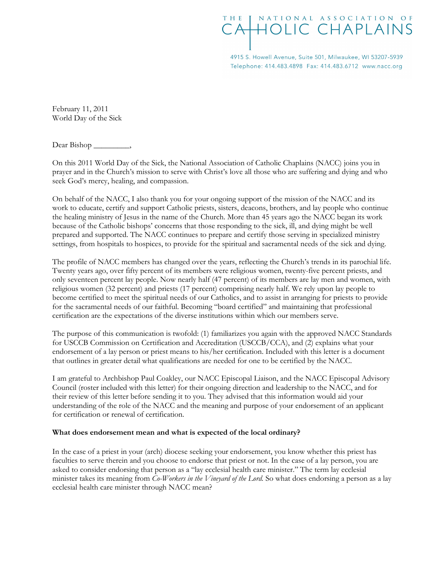## THE [ NATIONAL ASSOCIATION OF **HOLIC CHAPLAINS**

4915 S. Howell Avenue, Suite 501, Milwaukee, WI 53207-5939 Telephone: 414.483.4898 Fax: 414.483.6712 www.nacc.org

February 11, 2011 World Day of the Sick

Dear Bishop \_\_\_\_\_\_\_\_\_,

On this 2011 World Day of the Sick, the National Association of Catholic Chaplains (NACC) joins you in prayer and in the Church's mission to serve with Christ's love all those who are suffering and dying and who seek God's mercy, healing, and compassion.

On behalf of the NACC, I also thank you for your ongoing support of the mission of the NACC and its work to educate, certify and support Catholic priests, sisters, deacons, brothers, and lay people who continue the healing ministry of Jesus in the name of the Church. More than 45 years ago the NACC began its work because of the Catholic bishops' concerns that those responding to the sick, ill, and dying might be well prepared and supported. The NACC continues to prepare and certify those serving in specialized ministry settings, from hospitals to hospices, to provide for the spiritual and sacramental needs of the sick and dying.

The profile of NACC members has changed over the years, reflecting the Church's trends in its parochial life. Twenty years ago, over fifty percent of its members were religious women, twenty-five percent priests, and only seventeen percent lay people. Now nearly half (47 percent) of its members are lay men and women, with religious women (32 percent) and priests (17 percent) comprising nearly half. We rely upon lay people to become certified to meet the spiritual needs of our Catholics, and to assist in arranging for priests to provide for the sacramental needs of our faithful. Becoming "board certified" and maintaining that professional certification are the expectations of the diverse institutions within which our members serve.

The purpose of this communication is twofold: (1) familiarizes you again with the approved NACC Standards for USCCB Commission on Certification and Accreditation (USCCB/CCA), and (2) explains what your endorsement of a lay person or priest means to his/her certification. Included with this letter is a document that outlines in greater detail what qualifications are needed for one to be certified by the NACC.

I am grateful to Archbishop Paul Coakley, our NACC Episcopal Liaison, and the NACC Episcopal Advisory Council (roster included with this letter) for their ongoing direction and leadership to the NACC, and for their review of this letter before sending it to you. They advised that this information would aid your understanding of the role of the NACC and the meaning and purpose of your endorsement of an applicant for certification or renewal of certification.

## What does endorsement mean and what is expected of the local ordinary?

In the case of a priest in your (arch) diocese seeking your endorsement, you know whether this priest has faculties to serve therein and you choose to endorse that priest or not. In the case of a lay person, you are asked to consider endorsing that person as a "lay ecclesial health care minister." The term lay ecclesial minister takes its meaning from Co-Workers in the Vineyard of the Lord. So what does endorsing a person as a lay ecclesial health care minister through NACC mean?